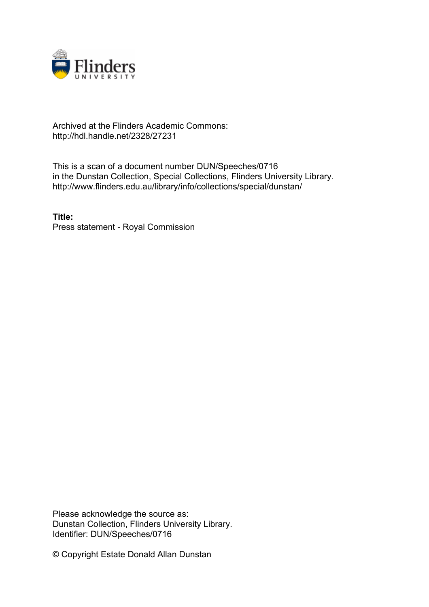

## Archived at the Flinders Academic Commons: http://hdl.handle.net/2328/27231

This is a scan of a document number DUN/Speeches/0716 in the Dunstan Collection, Special Collections, Flinders University Library. http://www.flinders.edu.au/library/info/collections/special/dunstan/

**Title:** Press statement - Royal Commission

Please acknowledge the source as: Dunstan Collection, Flinders University Library. Identifier: DUN/Speeches/0716

© Copyright Estate Donald Allan Dunstan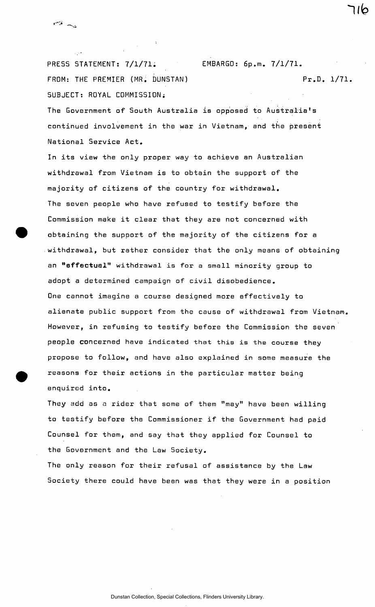PRESS STATEMENT: 7/1/71. EMBARGO: 6p.m. 7/1/71. FROM: THE PREMIER (MR. DUNSTAN) Pr.D. 1/71. SUBJECT: ROYAL COMMISSION;

שור

The Government of South Australia is opposed to Australia's continued involvement in the war in Vietnam, and the present National Service Act.

يب الأسم

In its view the only proper way to achieve an Australian withdrawal from Vietnam is to obtain the support of the majority of citizens of the country for withdrawal. The seven people who have refused to testify before the Commission make it clear that they are not concerned with obtaining the support of the majority of the citizens for a withdrawal, but rather consider that the only means of obtaining an **"effectual"** withdrawal is for a small minority group to adopt a determined campaign of civil disobedience. One cannot imagine a course designed more effectively to alienate public support from the cause of withdrawal from Vietnam. However, in refusing to testify before the Commission the seven people concerned have indicated that this is the course they propose to follow, and have also explained in some measure the reasons for their actions in the particular matter being enquired into.

They add as a rider that some of them "may" have been willing to testify before the Commissioner if the Government had paid Counsel for them, and say that they applied for Counsel to the Government and the Law Society.

The only reason for their refusal of assistance by the Law Society there could have been was that they were in a position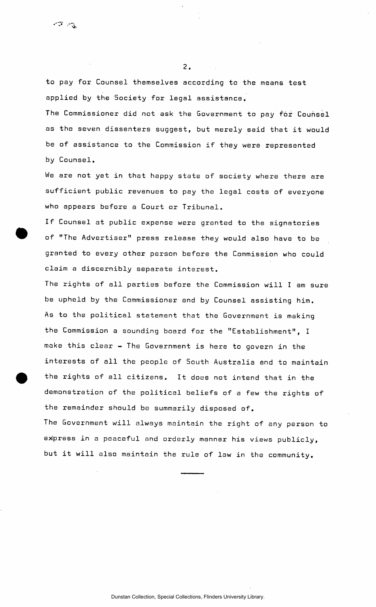to pay for Counsel themselves according to the means test applied by the Society for legal assistance.

**2.** 

The Commissioner did not ask the Government to pay for Counsel as the seven dissenters suggest, but merely said that it would be of assistance to the Commission if they were represented by Counsel.

We are not yet in that happy state of society where there are sufficient public revenues to pay the legal costs of everyone who appears before a Court or Tribunal.

If Counsel at public expense were granted to the signatories of "The Advertiser" press release they would also have to be granted to every other person before the Commission who could claim a discernibly separate interest.

The rights of all parties before the Commission will I am sure be upheld by the Commissioner and by Counsel assisting him. As to the political statement that the Government is making the Commission a sounding board for the "Establishment", I make this clear - The Government is here to govern in the interests of all the people of South Australia and to maintain the rights of all citizens. It does not intend that in the demonstration of the political beliefs of a few the rights of the remainder should be summarily disposed of.

The Government will always maintain the right of any person to express in a peaceful and orderly manner his views publicly, but it will also maintain the rule of law in the community.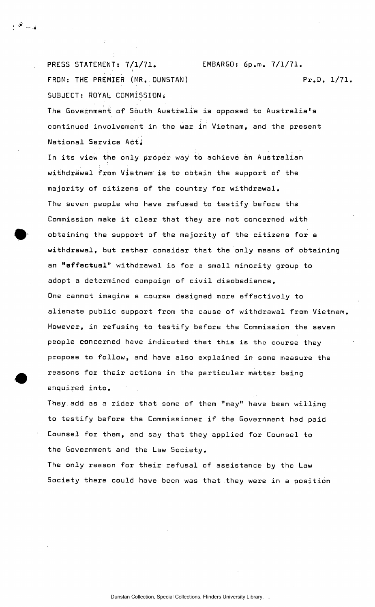PRESS STATEMENT: 7/1/71. EMBARGO: 6p.m. 7/1/71. FROM: THE PREMIER (MR. DUNSTAN) Pr.D. 1/71. SUBJECT: ROYAL COMMISSION.

The Government of South Australia is opposed to Australia's continued involvement in the war in Vietnam, and the present National Service Ac*t i* 

18. apr

In its view the only proper way to achieve an Australian withdrawal from Vietnam is to obtain the support of the majority of citizens of the country for withdrawal. The seven people who have refused to testify before the Commission make it clear that they are not concerned with obtaining the support of the majority of the citizens for **a**  withdrawal, but rather consider that the only means of obtaining an **"effectual"** withdrawal is for a small minority group to adopt **a** determined campaign of civil disobedience. One cannot imagine a course designed more effectively to alienate public support from the cause of withdrawal from Vietnam. However, in refusing to testify before the Commission the seven people concerned have indicated that this is the course they propose to follow, and have also explained in some measure the reasons for their actions in the particular matter being enquired into.

They add as a rider that some of them "may" have been willing to testify before the Commissioner if the Government had paid Counsel for them, and say that they applied for Counsel to the Government and the Law Society.

The only reason for their refusal of assistance by the Law Society there could have been was that they were in a position